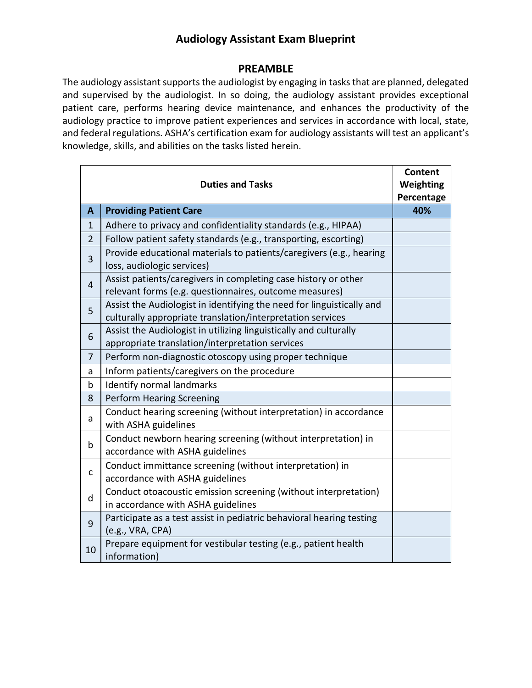## **Audiology Assistant Exam Blueprint**

## **PREAMBLE**

The audiology assistant supports the audiologist by engaging in tasks that are planned, delegated and supervised by the audiologist. In so doing, the audiology assistant provides exceptional patient care, performs hearing device maintenance, and enhances the productivity of the audiology practice to improve patient experiences and services in accordance with local, state, and federal regulations. ASHA's certification exam for audiology assistants will test an applicant's knowledge, skills, and abilities on the tasks listed herein.

|                | <b>Duties and Tasks</b>                                                                                                             | Content<br>Weighting<br>Percentage |
|----------------|-------------------------------------------------------------------------------------------------------------------------------------|------------------------------------|
| A              | <b>Providing Patient Care</b>                                                                                                       | 40%                                |
| $\mathbf{1}$   | Adhere to privacy and confidentiality standards (e.g., HIPAA)                                                                       |                                    |
| $\overline{2}$ | Follow patient safety standards (e.g., transporting, escorting)                                                                     |                                    |
| 3              | Provide educational materials to patients/caregivers (e.g., hearing<br>loss, audiologic services)                                   |                                    |
| 4              | Assist patients/caregivers in completing case history or other<br>relevant forms (e.g. questionnaires, outcome measures)            |                                    |
| 5              | Assist the Audiologist in identifying the need for linguistically and<br>culturally appropriate translation/interpretation services |                                    |
| 6              | Assist the Audiologist in utilizing linguistically and culturally<br>appropriate translation/interpretation services                |                                    |
| $\overline{7}$ | Perform non-diagnostic otoscopy using proper technique                                                                              |                                    |
| a              | Inform patients/caregivers on the procedure                                                                                         |                                    |
| b              | <b>Identify normal landmarks</b>                                                                                                    |                                    |
| 8              | <b>Perform Hearing Screening</b>                                                                                                    |                                    |
| a              | Conduct hearing screening (without interpretation) in accordance<br>with ASHA guidelines                                            |                                    |
| b              | Conduct newborn hearing screening (without interpretation) in<br>accordance with ASHA guidelines                                    |                                    |
| $\mathsf{C}$   | Conduct immittance screening (without interpretation) in<br>accordance with ASHA guidelines                                         |                                    |
| d              | Conduct otoacoustic emission screening (without interpretation)<br>in accordance with ASHA guidelines                               |                                    |
| 9              | Participate as a test assist in pediatric behavioral hearing testing<br>(e.g., VRA, CPA)                                            |                                    |
| 10             | Prepare equipment for vestibular testing (e.g., patient health<br>information)                                                      |                                    |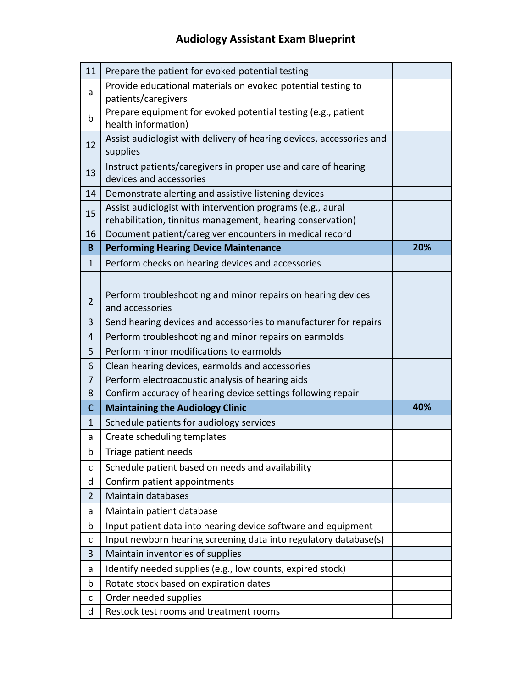## **Audiology Assistant Exam Blueprint**

| 11             | Prepare the patient for evoked potential testing                                                                         |     |
|----------------|--------------------------------------------------------------------------------------------------------------------------|-----|
| a              | Provide educational materials on evoked potential testing to<br>patients/caregivers                                      |     |
| b              | Prepare equipment for evoked potential testing (e.g., patient<br>health information)                                     |     |
| 12             | Assist audiologist with delivery of hearing devices, accessories and<br>supplies                                         |     |
| 13             | Instruct patients/caregivers in proper use and care of hearing<br>devices and accessories                                |     |
| 14             | Demonstrate alerting and assistive listening devices                                                                     |     |
| 15             | Assist audiologist with intervention programs (e.g., aural<br>rehabilitation, tinnitus management, hearing conservation) |     |
| 16             | Document patient/caregiver encounters in medical record                                                                  |     |
| B              | <b>Performing Hearing Device Maintenance</b>                                                                             | 20% |
| $\mathbf{1}$   | Perform checks on hearing devices and accessories                                                                        |     |
|                |                                                                                                                          |     |
| $\overline{2}$ | Perform troubleshooting and minor repairs on hearing devices<br>and accessories                                          |     |
| 3              | Send hearing devices and accessories to manufacturer for repairs                                                         |     |
| 4              | Perform troubleshooting and minor repairs on earmolds                                                                    |     |
| 5              | Perform minor modifications to earmolds                                                                                  |     |
| 6              | Clean hearing devices, earmolds and accessories                                                                          |     |
| 7              | Perform electroacoustic analysis of hearing aids                                                                         |     |
| 8              | Confirm accuracy of hearing device settings following repair                                                             |     |
| $\mathbf C$    | <b>Maintaining the Audiology Clinic</b>                                                                                  | 40% |
| $\mathbf{1}$   | Schedule patients for audiology services                                                                                 |     |
| a              | Create scheduling templates                                                                                              |     |
| b              | Triage patient needs                                                                                                     |     |
| $\mathsf{C}$   | Schedule patient based on needs and availability                                                                         |     |
| d              | Confirm patient appointments                                                                                             |     |
| $\overline{2}$ | <b>Maintain databases</b>                                                                                                |     |
| a              | Maintain patient database                                                                                                |     |
| b              | Input patient data into hearing device software and equipment                                                            |     |
| C              | Input newborn hearing screening data into regulatory database(s)                                                         |     |
| 3              | Maintain inventories of supplies                                                                                         |     |
| a              | Identify needed supplies (e.g., low counts, expired stock)                                                               |     |
| b              | Rotate stock based on expiration dates                                                                                   |     |
| $\mathsf{C}$   | Order needed supplies                                                                                                    |     |
| d              | Restock test rooms and treatment rooms                                                                                   |     |